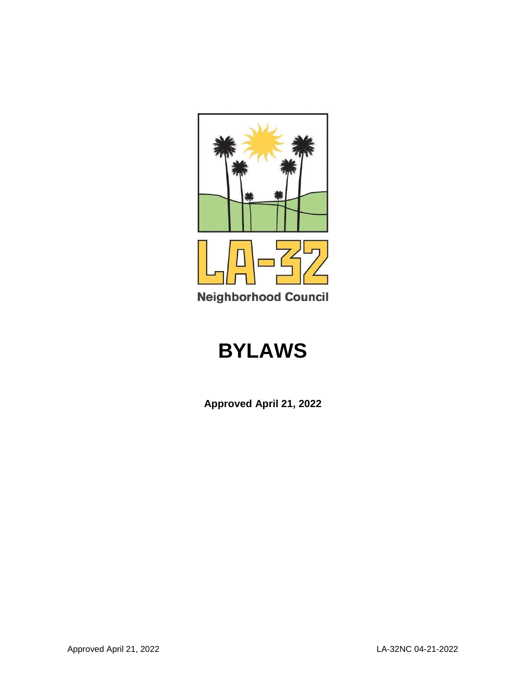

# **BYLAWS**

**Approved April 21, 2022**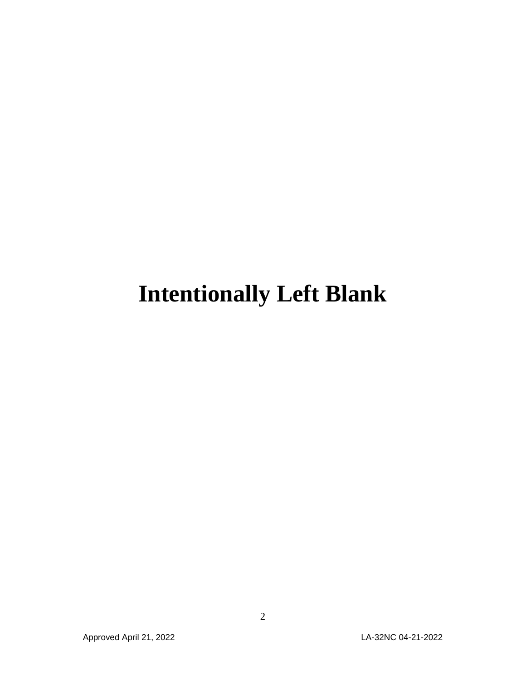# **Intentionally Left Blank**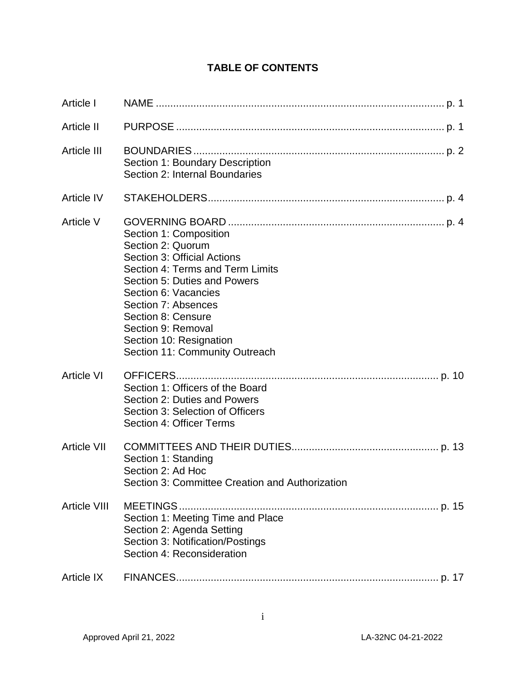## **TABLE OF CONTENTS**

| Article I           |                                                                                                                                                                                                                                                                                                        |
|---------------------|--------------------------------------------------------------------------------------------------------------------------------------------------------------------------------------------------------------------------------------------------------------------------------------------------------|
| Article II          |                                                                                                                                                                                                                                                                                                        |
| Article III         | Section 1: Boundary Description<br>Section 2: Internal Boundaries                                                                                                                                                                                                                                      |
| Article IV          |                                                                                                                                                                                                                                                                                                        |
| Article V           | Section 1: Composition<br>Section 2: Quorum<br>Section 3: Official Actions<br>Section 4: Terms and Term Limits<br>Section 5: Duties and Powers<br>Section 6: Vacancies<br>Section 7: Absences<br>Section 8: Censure<br>Section 9: Removal<br>Section 10: Resignation<br>Section 11: Community Outreach |
| <b>Article VI</b>   | Section 1: Officers of the Board<br>Section 2: Duties and Powers<br>Section 3: Selection of Officers<br>Section 4: Officer Terms                                                                                                                                                                       |
| <b>Article VII</b>  | Section 1: Standing<br>Section 2: Ad Hoc<br>Section 3: Committee Creation and Authorization                                                                                                                                                                                                            |
| <b>Article VIII</b> | Section 1: Meeting Time and Place<br>Section 2: Agenda Setting<br>Section 3: Notification/Postings<br>Section 4: Reconsideration                                                                                                                                                                       |
| Article IX          |                                                                                                                                                                                                                                                                                                        |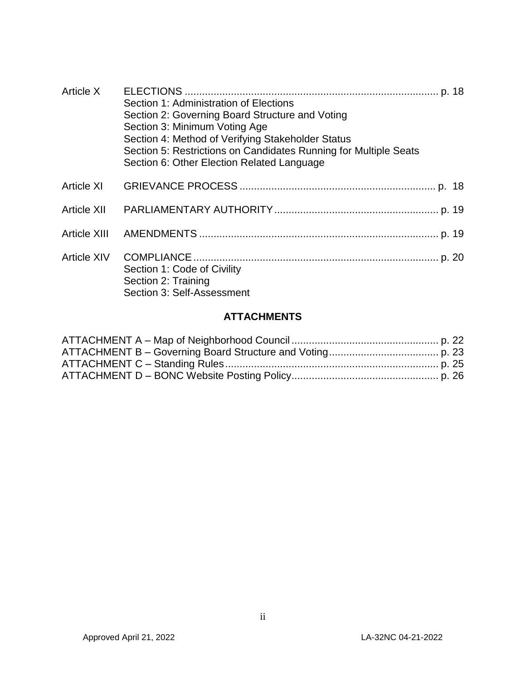| Article X          |                                                                  |  |
|--------------------|------------------------------------------------------------------|--|
|                    | Section 1: Administration of Elections                           |  |
|                    | Section 2: Governing Board Structure and Voting                  |  |
|                    | Section 3: Minimum Voting Age                                    |  |
|                    | Section 4: Method of Verifying Stakeholder Status                |  |
|                    | Section 5: Restrictions on Candidates Running for Multiple Seats |  |
|                    | Section 6: Other Election Related Language                       |  |
| <b>Article XI</b>  |                                                                  |  |
|                    |                                                                  |  |
| Article XII        |                                                                  |  |
|                    |                                                                  |  |
| Article XIII       |                                                                  |  |
| <b>Article XIV</b> |                                                                  |  |
|                    | Section 1: Code of Civility                                      |  |
|                    | Section 2: Training                                              |  |
|                    | Section 3: Self-Assessment                                       |  |
|                    |                                                                  |  |

## **ATTACHMENTS**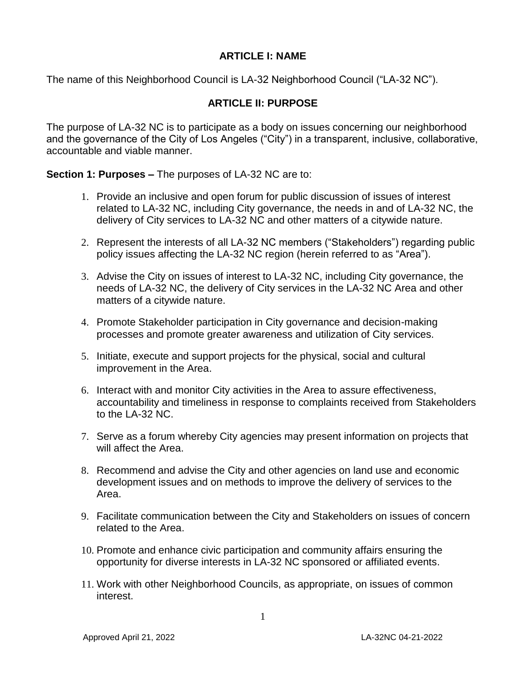## **ARTICLE I: NAME**

The name of this Neighborhood Council is LA-32 Neighborhood Council ("LA-32 NC").

## **ARTICLE II: PURPOSE**

The purpose of LA-32 NC is to participate as a body on issues concerning our neighborhood and the governance of the City of Los Angeles ("City") in a transparent, inclusive, collaborative, accountable and viable manner.

**Section 1: Purposes –** The purposes of LA-32 NC are to:

- 1. Provide an inclusive and open forum for public discussion of issues of interest related to LA-32 NC, including City governance, the needs in and of LA-32 NC, the delivery of City services to LA-32 NC and other matters of a citywide nature.
- 2. Represent the interests of all LA-32 NC members ("Stakeholders") regarding public policy issues affecting the LA-32 NC region (herein referred to as "Area").
- 3. Advise the City on issues of interest to LA-32 NC, including City governance, the needs of LA-32 NC, the delivery of City services in the LA-32 NC Area and other matters of a citywide nature.
- 4. Promote Stakeholder participation in City governance and decision-making processes and promote greater awareness and utilization of City services.
- 5. Initiate, execute and support projects for the physical, social and cultural improvement in the Area.
- 6. Interact with and monitor City activities in the Area to assure effectiveness, accountability and timeliness in response to complaints received from Stakeholders to the LA-32 NC.
- 7. Serve as a forum whereby City agencies may present information on projects that will affect the Area.
- 8. Recommend and advise the City and other agencies on land use and economic development issues and on methods to improve the delivery of services to the Area.
- 9. Facilitate communication between the City and Stakeholders on issues of concern related to the Area.
- 10. Promote and enhance civic participation and community affairs ensuring the opportunity for diverse interests in LA-32 NC sponsored or affiliated events.
- 11. Work with other Neighborhood Councils, as appropriate, on issues of common interest.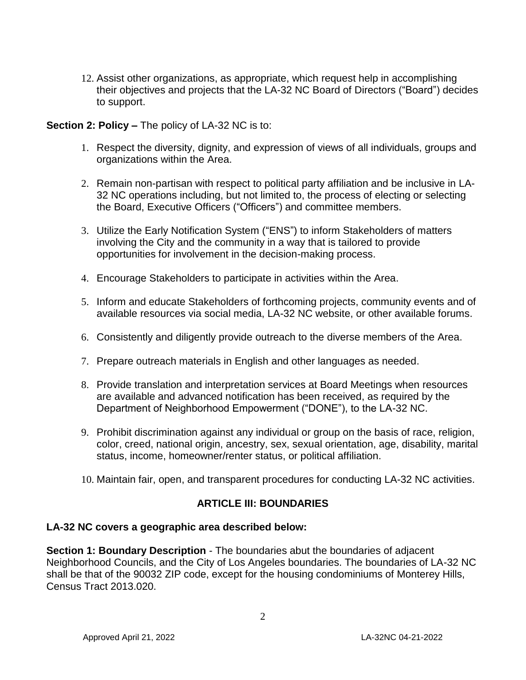12. Assist other organizations, as appropriate, which request help in accomplishing their objectives and projects that the LA-32 NC Board of Directors ("Board") decides to support.

### **Section 2: Policy –** The policy of LA-32 NC is to:

- 1. Respect the diversity, dignity, and expression of views of all individuals, groups and organizations within the Area.
- 2. Remain non-partisan with respect to political party affiliation and be inclusive in LA-32 NC operations including, but not limited to, the process of electing or selecting the Board, Executive Officers ("Officers") and committee members.
- 3. Utilize the Early Notification System ("ENS") to inform Stakeholders of matters involving the City and the community in a way that is tailored to provide opportunities for involvement in the decision-making process.
- 4. Encourage Stakeholders to participate in activities within the Area.
- 5. Inform and educate Stakeholders of forthcoming projects, community events and of available resources via social media, LA-32 NC website, or other available forums.
- 6. Consistently and diligently provide outreach to the diverse members of the Area.
- 7. Prepare outreach materials in English and other languages as needed.
- 8. Provide translation and interpretation services at Board Meetings when resources are available and advanced notification has been received, as required by the Department of Neighborhood Empowerment ("DONE"), to the LA-32 NC.
- 9. Prohibit discrimination against any individual or group on the basis of race, religion, color, creed, national origin, ancestry, sex, sexual orientation, age, disability, marital status, income, homeowner/renter status, or political affiliation.
- 10. Maintain fair, open, and transparent procedures for conducting LA-32 NC activities.

### **ARTICLE III: BOUNDARIES**

#### **LA-32 NC covers a geographic area described below:**

**Section 1: Boundary Description** - The boundaries abut the boundaries of adjacent Neighborhood Councils, and the City of Los Angeles boundaries. The boundaries of LA-32 NC shall be that of the 90032 ZIP code, except for the housing condominiums of Monterey Hills, Census Tract 2013.020.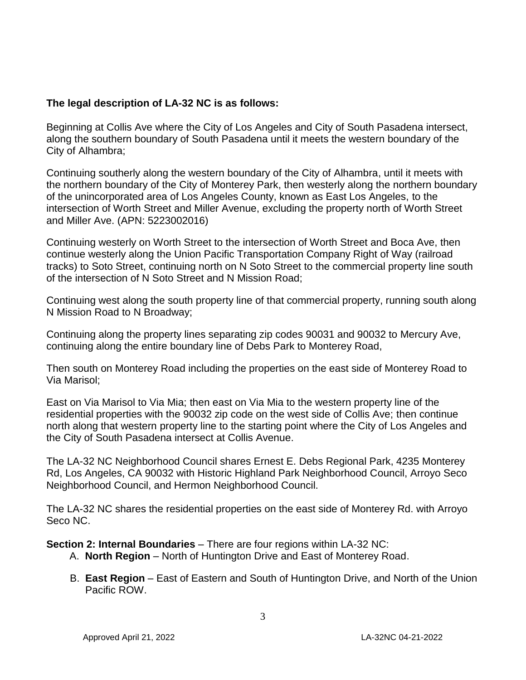## **The legal description of LA-32 NC is as follows:**

Beginning at Collis Ave where the City of Los Angeles and City of South Pasadena intersect, along the southern boundary of South Pasadena until it meets the western boundary of the City of Alhambra;

Continuing southerly along the western boundary of the City of Alhambra, until it meets with the northern boundary of the City of Monterey Park, then westerly along the northern boundary of the unincorporated area of Los Angeles County, known as East Los Angeles, to the intersection of Worth Street and Miller Avenue, excluding the property north of Worth Street and Miller Ave. (APN: 5223002016)

Continuing westerly on Worth Street to the intersection of Worth Street and Boca Ave, then continue westerly along the Union Pacific Transportation Company Right of Way (railroad tracks) to Soto Street, continuing north on N Soto Street to the commercial property line south of the intersection of N Soto Street and N Mission Road;

Continuing west along the south property line of that commercial property, running south along N Mission Road to N Broadway;

Continuing along the property lines separating zip codes 90031 and 90032 to Mercury Ave, continuing along the entire boundary line of Debs Park to Monterey Road,

Then south on Monterey Road including the properties on the east side of Monterey Road to Via Marisol;

East on Via Marisol to Via Mia; then east on Via Mia to the western property line of the residential properties with the 90032 zip code on the west side of Collis Ave; then continue north along that western property line to the starting point where the City of Los Angeles and the City of South Pasadena intersect at Collis Avenue.

The LA-32 NC Neighborhood Council shares Ernest E. Debs Regional Park, 4235 Monterey Rd, Los Angeles, CA 90032 with Historic Highland Park Neighborhood Council, Arroyo Seco Neighborhood Council, and Hermon Neighborhood Council.

The LA-32 NC shares the residential properties on the east side of Monterey Rd. with Arroyo Seco NC.

**Section 2: Internal Boundaries** – There are four regions within LA-32 NC:

- A. **North Region** North of Huntington Drive and East of Monterey Road.
- B. **East Region** East of Eastern and South of Huntington Drive, and North of the Union Pacific ROW.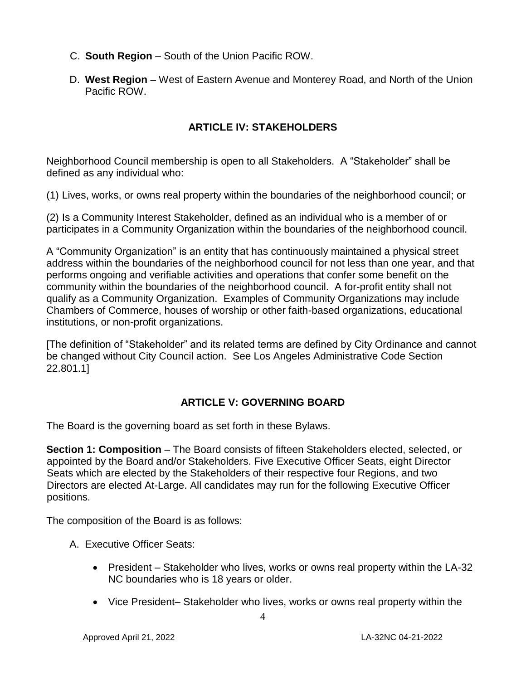- C. **South Region** South of the Union Pacific ROW.
- D. **West Region** West of Eastern Avenue and Monterey Road, and North of the Union Pacific ROW.

## **ARTICLE IV: STAKEHOLDERS**

Neighborhood Council membership is open to all Stakeholders. A "Stakeholder" shall be defined as any individual who:

(1) Lives, works, or owns real property within the boundaries of the neighborhood council; or

(2) Is a Community Interest Stakeholder, defined as an individual who is a member of or participates in a Community Organization within the boundaries of the neighborhood council.

A "Community Organization" is an entity that has continuously maintained a physical street address within the boundaries of the neighborhood council for not less than one year, and that performs ongoing and verifiable activities and operations that confer some benefit on the community within the boundaries of the neighborhood council. A for-profit entity shall not qualify as a Community Organization. Examples of Community Organizations may include Chambers of Commerce, houses of worship or other faith-based organizations, educational institutions, or non-profit organizations.

[The definition of "Stakeholder" and its related terms are defined by City Ordinance and cannot be changed without City Council action. See Los Angeles Administrative Code Section 22.801.1]

## **ARTICLE V: GOVERNING BOARD**

The Board is the governing board as set forth in these Bylaws.

**Section 1: Composition** – The Board consists of fifteen Stakeholders elected, selected, or appointed by the Board and/or Stakeholders. Five Executive Officer Seats, eight Director Seats which are elected by the Stakeholders of their respective four Regions, and two Directors are elected At-Large. All candidates may run for the following Executive Officer positions.

The composition of the Board is as follows:

- A. Executive Officer Seats:
	- President Stakeholder who lives, works or owns real property within the LA-32 NC boundaries who is 18 years or older.
	- Vice President– Stakeholder who lives, works or owns real property within the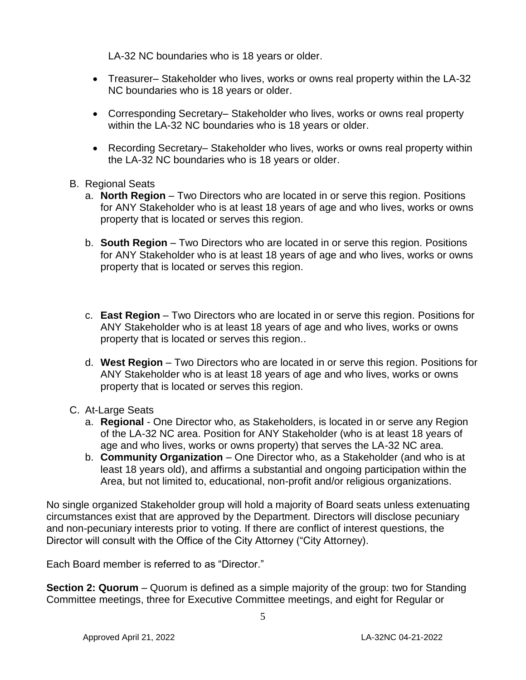LA-32 NC boundaries who is 18 years or older.

- Treasurer– Stakeholder who lives, works or owns real property within the LA-32 NC boundaries who is 18 years or older.
- Corresponding Secretary– Stakeholder who lives, works or owns real property within the LA-32 NC boundaries who is 18 years or older.
- Recording Secretary– Stakeholder who lives, works or owns real property within the LA-32 NC boundaries who is 18 years or older.
- B. Regional Seats
	- a. **North Region** Two Directors who are located in or serve this region. Positions for ANY Stakeholder who is at least 18 years of age and who lives, works or owns property that is located or serves this region.
	- b. **South Region** Two Directors who are located in or serve this region. Positions for ANY Stakeholder who is at least 18 years of age and who lives, works or owns property that is located or serves this region.
	- c. **East Region** Two Directors who are located in or serve this region. Positions for ANY Stakeholder who is at least 18 years of age and who lives, works or owns property that is located or serves this region..
	- d. **West Region** Two Directors who are located in or serve this region. Positions for ANY Stakeholder who is at least 18 years of age and who lives, works or owns property that is located or serves this region.
- C. At-Large Seats
	- a. **Regional** One Director who, as Stakeholders, is located in or serve any Region of the LA-32 NC area. Position for ANY Stakeholder (who is at least 18 years of age and who lives, works or owns property) that serves the LA-32 NC area.
	- b. **Community Organization** One Director who, as a Stakeholder (and who is at least 18 years old), and affirms a substantial and ongoing participation within the Area, but not limited to, educational, non-profit and/or religious organizations.

No single organized Stakeholder group will hold a majority of Board seats unless extenuating circumstances exist that are approved by the Department. Directors will disclose pecuniary and non-pecuniary interests prior to voting. If there are conflict of interest questions, the Director will consult with the Office of the City Attorney ("City Attorney).

Each Board member is referred to as "Director."

**Section 2: Quorum** – Quorum is defined as a simple majority of the group: two for Standing Committee meetings, three for Executive Committee meetings, and eight for Regular or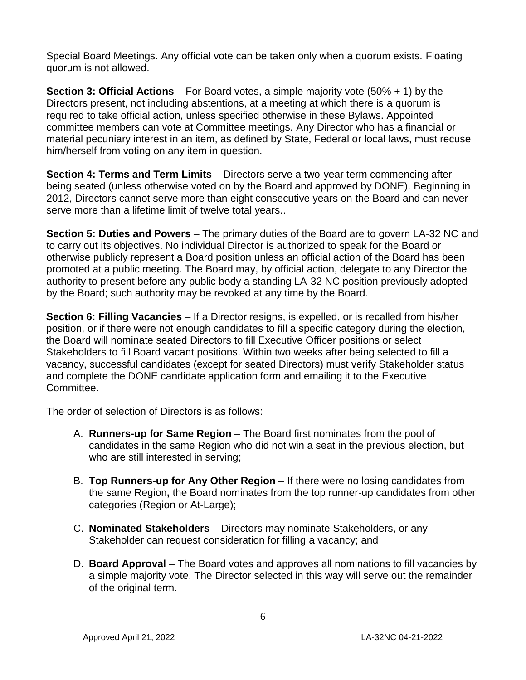Special Board Meetings. Any official vote can be taken only when a quorum exists. Floating quorum is not allowed.

**Section 3: Official Actions** – For Board votes, a simple majority vote (50% + 1) by the Directors present, not including abstentions, at a meeting at which there is a quorum is required to take official action, unless specified otherwise in these Bylaws. Appointed committee members can vote at Committee meetings. Any Director who has a financial or material pecuniary interest in an item, as defined by State, Federal or local laws, must recuse him/herself from voting on any item in question.

**Section 4: Terms and Term Limits** – Directors serve a two-year term commencing after being seated (unless otherwise voted on by the Board and approved by DONE). Beginning in 2012, Directors cannot serve more than eight consecutive years on the Board and can never serve more than a lifetime limit of twelve total years..

**Section 5: Duties and Powers** – The primary duties of the Board are to govern LA-32 NC and to carry out its objectives. No individual Director is authorized to speak for the Board or otherwise publicly represent a Board position unless an official action of the Board has been promoted at a public meeting. The Board may, by official action, delegate to any Director the authority to present before any public body a standing LA-32 NC position previously adopted by the Board; such authority may be revoked at any time by the Board.

**Section 6: Filling Vacancies** – If a Director resigns, is expelled, or is recalled from his/her position, or if there were not enough candidates to fill a specific category during the election, the Board will nominate seated Directors to fill Executive Officer positions or select Stakeholders to fill Board vacant positions. Within two weeks after being selected to fill a vacancy, successful candidates (except for seated Directors) must verify Stakeholder status and complete the DONE candidate application form and emailing it to the Executive Committee.

The order of selection of Directors is as follows:

- A. **Runners-up for Same Region** The Board first nominates from the pool of candidates in the same Region who did not win a seat in the previous election, but who are still interested in serving;
- B. **Top Runners-up for Any Other Region** If there were no losing candidates from the same Region**,** the Board nominates from the top runner-up candidates from other categories (Region or At-Large);
- C. **Nominated Stakeholders** Directors may nominate Stakeholders, or any Stakeholder can request consideration for filling a vacancy; and
- D. **Board Approval** The Board votes and approves all nominations to fill vacancies by a simple majority vote. The Director selected in this way will serve out the remainder of the original term.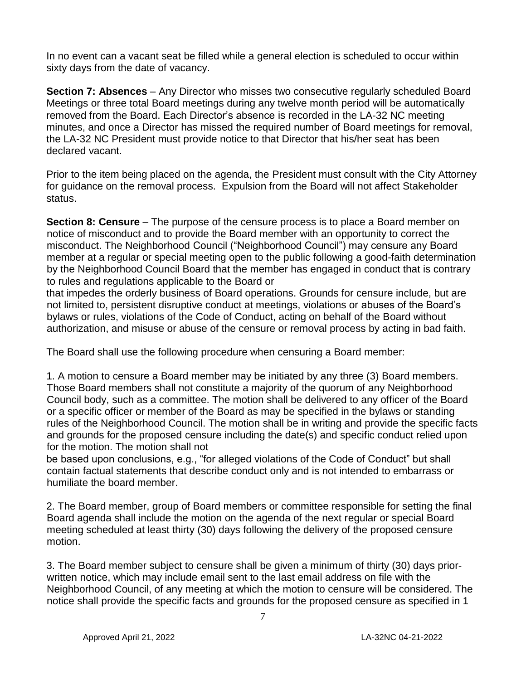In no event can a vacant seat be filled while a general election is scheduled to occur within sixty days from the date of vacancy.

**Section 7: Absences** – Any Director who misses two consecutive regularly scheduled Board Meetings or three total Board meetings during any twelve month period will be automatically removed from the Board. Each Director's absence is recorded in the LA-32 NC meeting minutes, and once a Director has missed the required number of Board meetings for removal, the LA-32 NC President must provide notice to that Director that his/her seat has been declared vacant.

Prior to the item being placed on the agenda, the President must consult with the City Attorney for guidance on the removal process. Expulsion from the Board will not affect Stakeholder status.

**Section 8: Censure** – The purpose of the censure process is to place a Board member on notice of misconduct and to provide the Board member with an opportunity to correct the misconduct. The Neighborhood Council ("Neighborhood Council") may censure any Board member at a regular or special meeting open to the public following a good-faith determination by the Neighborhood Council Board that the member has engaged in conduct that is contrary to rules and regulations applicable to the Board or

that impedes the orderly business of Board operations. Grounds for censure include, but are not limited to, persistent disruptive conduct at meetings, violations or abuses of the Board's bylaws or rules, violations of the Code of Conduct, acting on behalf of the Board without authorization, and misuse or abuse of the censure or removal process by acting in bad faith.

The Board shall use the following procedure when censuring a Board member:

1. A motion to censure a Board member may be initiated by any three (3) Board members. Those Board members shall not constitute a majority of the quorum of any Neighborhood Council body, such as a committee. The motion shall be delivered to any officer of the Board or a specific officer or member of the Board as may be specified in the bylaws or standing rules of the Neighborhood Council. The motion shall be in writing and provide the specific facts and grounds for the proposed censure including the date(s) and specific conduct relied upon for the motion. The motion shall not

be based upon conclusions, e.g., "for alleged violations of the Code of Conduct" but shall contain factual statements that describe conduct only and is not intended to embarrass or humiliate the board member.

2. The Board member, group of Board members or committee responsible for setting the final Board agenda shall include the motion on the agenda of the next regular or special Board meeting scheduled at least thirty (30) days following the delivery of the proposed censure motion.

3. The Board member subject to censure shall be given a minimum of thirty (30) days priorwritten notice, which may include email sent to the last email address on file with the Neighborhood Council, of any meeting at which the motion to censure will be considered. The notice shall provide the specific facts and grounds for the proposed censure as specified in 1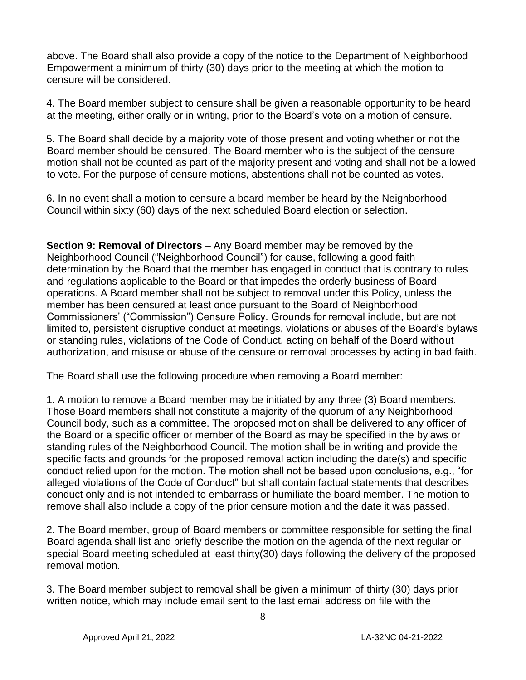above. The Board shall also provide a copy of the notice to the Department of Neighborhood Empowerment a minimum of thirty (30) days prior to the meeting at which the motion to censure will be considered.

4. The Board member subject to censure shall be given a reasonable opportunity to be heard at the meeting, either orally or in writing, prior to the Board's vote on a motion of censure.

5. The Board shall decide by a majority vote of those present and voting whether or not the Board member should be censured. The Board member who is the subject of the censure motion shall not be counted as part of the majority present and voting and shall not be allowed to vote. For the purpose of censure motions, abstentions shall not be counted as votes.

6. In no event shall a motion to censure a board member be heard by the Neighborhood Council within sixty (60) days of the next scheduled Board election or selection.

**Section 9: Removal of Directors** – Any Board member may be removed by the Neighborhood Council ("Neighborhood Council") for cause, following a good faith determination by the Board that the member has engaged in conduct that is contrary to rules and regulations applicable to the Board or that impedes the orderly business of Board operations. A Board member shall not be subject to removal under this Policy, unless the member has been censured at least once pursuant to the Board of Neighborhood Commissioners' ("Commission") Censure Policy. Grounds for removal include, but are not limited to, persistent disruptive conduct at meetings, violations or abuses of the Board's bylaws or standing rules, violations of the Code of Conduct, acting on behalf of the Board without authorization, and misuse or abuse of the censure or removal processes by acting in bad faith.

The Board shall use the following procedure when removing a Board member:

1. A motion to remove a Board member may be initiated by any three (3) Board members. Those Board members shall not constitute a majority of the quorum of any Neighborhood Council body, such as a committee. The proposed motion shall be delivered to any officer of the Board or a specific officer or member of the Board as may be specified in the bylaws or standing rules of the Neighborhood Council. The motion shall be in writing and provide the specific facts and grounds for the proposed removal action including the date(s) and specific conduct relied upon for the motion. The motion shall not be based upon conclusions, e.g., "for alleged violations of the Code of Conduct" but shall contain factual statements that describes conduct only and is not intended to embarrass or humiliate the board member. The motion to remove shall also include a copy of the prior censure motion and the date it was passed.

2. The Board member, group of Board members or committee responsible for setting the final Board agenda shall list and briefly describe the motion on the agenda of the next regular or special Board meeting scheduled at least thirty(30) days following the delivery of the proposed removal motion.

3. The Board member subject to removal shall be given a minimum of thirty (30) days prior written notice, which may include email sent to the last email address on file with the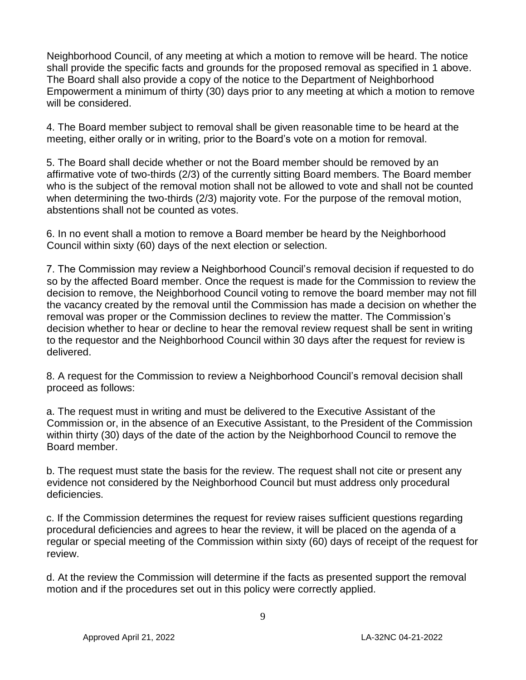Neighborhood Council, of any meeting at which a motion to remove will be heard. The notice shall provide the specific facts and grounds for the proposed removal as specified in 1 above. The Board shall also provide a copy of the notice to the Department of Neighborhood Empowerment a minimum of thirty (30) days prior to any meeting at which a motion to remove will be considered.

4. The Board member subject to removal shall be given reasonable time to be heard at the meeting, either orally or in writing, prior to the Board's vote on a motion for removal.

5. The Board shall decide whether or not the Board member should be removed by an affirmative vote of two-thirds (2/3) of the currently sitting Board members. The Board member who is the subject of the removal motion shall not be allowed to vote and shall not be counted when determining the two-thirds (2/3) majority vote. For the purpose of the removal motion, abstentions shall not be counted as votes.

6. In no event shall a motion to remove a Board member be heard by the Neighborhood Council within sixty (60) days of the next election or selection.

7. The Commission may review a Neighborhood Council's removal decision if requested to do so by the affected Board member. Once the request is made for the Commission to review the decision to remove, the Neighborhood Council voting to remove the board member may not fill the vacancy created by the removal until the Commission has made a decision on whether the removal was proper or the Commission declines to review the matter. The Commission's decision whether to hear or decline to hear the removal review request shall be sent in writing to the requestor and the Neighborhood Council within 30 days after the request for review is delivered.

8. A request for the Commission to review a Neighborhood Council's removal decision shall proceed as follows:

a. The request must in writing and must be delivered to the Executive Assistant of the Commission or, in the absence of an Executive Assistant, to the President of the Commission within thirty (30) days of the date of the action by the Neighborhood Council to remove the Board member.

b. The request must state the basis for the review. The request shall not cite or present any evidence not considered by the Neighborhood Council but must address only procedural deficiencies.

c. If the Commission determines the request for review raises sufficient questions regarding procedural deficiencies and agrees to hear the review, it will be placed on the agenda of a regular or special meeting of the Commission within sixty (60) days of receipt of the request for review.

d. At the review the Commission will determine if the facts as presented support the removal motion and if the procedures set out in this policy were correctly applied.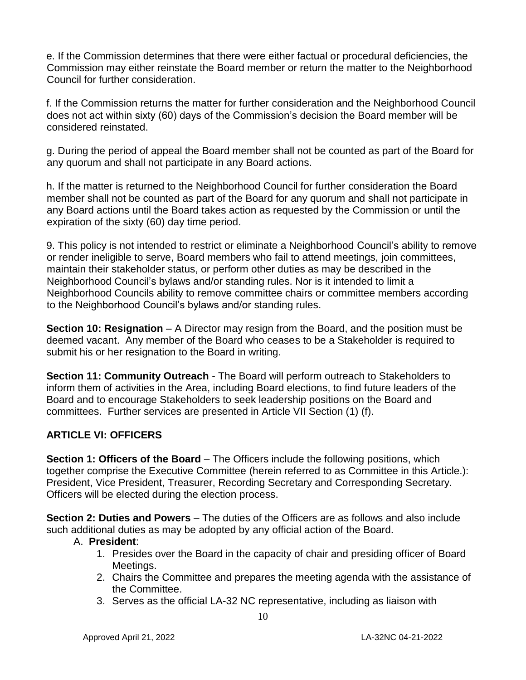e. If the Commission determines that there were either factual or procedural deficiencies, the Commission may either reinstate the Board member or return the matter to the Neighborhood Council for further consideration.

f. If the Commission returns the matter for further consideration and the Neighborhood Council does not act within sixty (60) days of the Commission's decision the Board member will be considered reinstated.

g. During the period of appeal the Board member shall not be counted as part of the Board for any quorum and shall not participate in any Board actions.

h. If the matter is returned to the Neighborhood Council for further consideration the Board member shall not be counted as part of the Board for any quorum and shall not participate in any Board actions until the Board takes action as requested by the Commission or until the expiration of the sixty (60) day time period.

9. This policy is not intended to restrict or eliminate a Neighborhood Council's ability to remove or render ineligible to serve, Board members who fail to attend meetings, join committees, maintain their stakeholder status, or perform other duties as may be described in the Neighborhood Council's bylaws and/or standing rules. Nor is it intended to limit a Neighborhood Councils ability to remove committee chairs or committee members according to the Neighborhood Council's bylaws and/or standing rules.

**Section 10: Resignation** – A Director may resign from the Board, and the position must be deemed vacant. Any member of the Board who ceases to be a Stakeholder is required to submit his or her resignation to the Board in writing.

**Section 11: Community Outreach** - The Board will perform outreach to Stakeholders to inform them of activities in the Area, including Board elections, to find future leaders of the Board and to encourage Stakeholders to seek leadership positions on the Board and committees. Further services are presented in Article VII Section (1) (f).

## **ARTICLE VI: OFFICERS**

**Section 1: Officers of the Board** – The Officers include the following positions, which together comprise the Executive Committee (herein referred to as Committee in this Article.): President, Vice President, Treasurer, Recording Secretary and Corresponding Secretary. Officers will be elected during the election process.

**Section 2: Duties and Powers** – The duties of the Officers are as follows and also include such additional duties as may be adopted by any official action of the Board.

## A. **President**:

- 1. Presides over the Board in the capacity of chair and presiding officer of Board Meetings.
- 2. Chairs the Committee and prepares the meeting agenda with the assistance of the Committee.
- 3. Serves as the official LA-32 NC representative, including as liaison with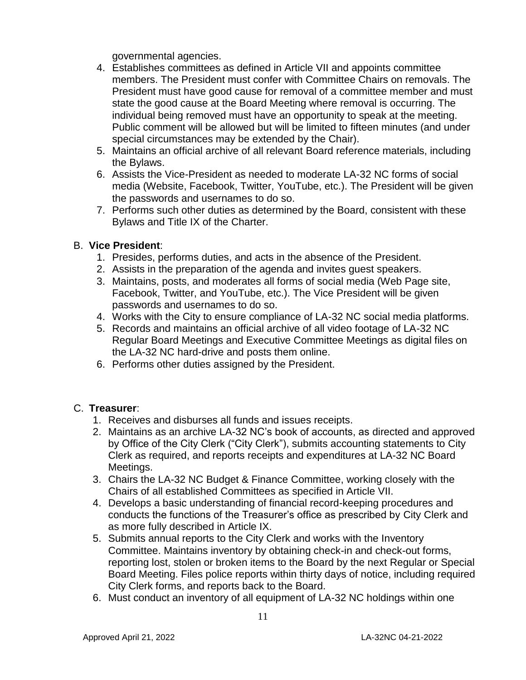governmental agencies.

- 4. Establishes committees as defined in Article VII and appoints committee members. The President must confer with Committee Chairs on removals. The President must have good cause for removal of a committee member and must state the good cause at the Board Meeting where removal is occurring. The individual being removed must have an opportunity to speak at the meeting. Public comment will be allowed but will be limited to fifteen minutes (and under special circumstances may be extended by the Chair).
- 5. Maintains an official archive of all relevant Board reference materials, including the Bylaws.
- 6. Assists the Vice-President as needed to moderate LA-32 NC forms of social media (Website, Facebook, Twitter, YouTube, etc.). The President will be given the passwords and usernames to do so.
- 7. Performs such other duties as determined by the Board, consistent with these Bylaws and Title IX of the Charter.

## B. **Vice President**:

- 1. Presides, performs duties, and acts in the absence of the President.
- 2. Assists in the preparation of the agenda and invites guest speakers.
- 3. Maintains, posts, and moderates all forms of social media (Web Page site, Facebook, Twitter, and YouTube, etc.). The Vice President will be given passwords and usernames to do so.
- 4. Works with the City to ensure compliance of LA-32 NC social media platforms.
- 5. Records and maintains an official archive of all video footage of LA-32 NC Regular Board Meetings and Executive Committee Meetings as digital files on the LA-32 NC hard-drive and posts them online.
- 6. Performs other duties assigned by the President.

## C. **Treasurer**:

- 1. Receives and disburses all funds and issues receipts.
- 2. Maintains as an archive LA-32 NC's book of accounts, as directed and approved by Office of the City Clerk ("City Clerk"), submits accounting statements to City Clerk as required, and reports receipts and expenditures at LA-32 NC Board Meetings.
- 3. Chairs the LA-32 NC Budget & Finance Committee, working closely with the Chairs of all established Committees as specified in Article VII.
- 4. Develops a basic understanding of financial record-keeping procedures and conducts the functions of the Treasurer's office as prescribed by City Clerk and as more fully described in Article IX.
- 5. Submits annual reports to the City Clerk and works with the Inventory Committee. Maintains inventory by obtaining check-in and check-out forms, reporting lost, stolen or broken items to the Board by the next Regular or Special Board Meeting. Files police reports within thirty days of notice, including required City Clerk forms, and reports back to the Board.
- 6. Must conduct an inventory of all equipment of LA-32 NC holdings within one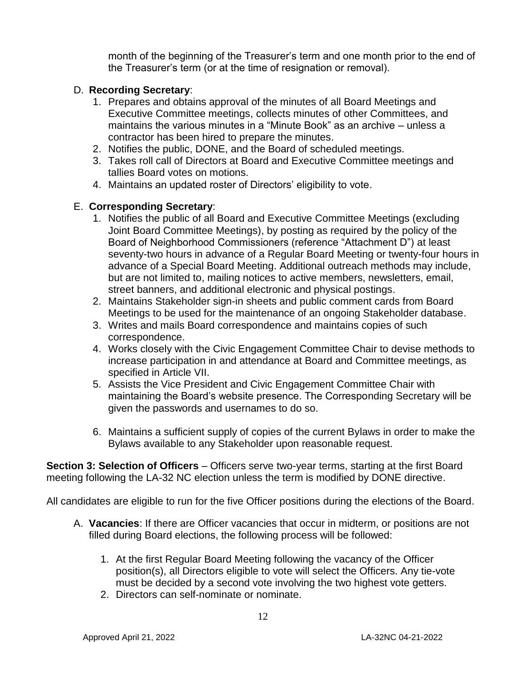month of the beginning of the Treasurer's term and one month prior to the end of the Treasurer's term (or at the time of resignation or removal).

## D. **Recording Secretary**:

- 1. Prepares and obtains approval of the minutes of all Board Meetings and Executive Committee meetings, collects minutes of other Committees, and maintains the various minutes in a "Minute Book" as an archive – unless a contractor has been hired to prepare the minutes.
- 2. Notifies the public, DONE, and the Board of scheduled meetings.
- 3. Takes roll call of Directors at Board and Executive Committee meetings and tallies Board votes on motions.
- 4. Maintains an updated roster of Directors' eligibility to vote.

## E. **Corresponding Secretary**:

- 1. Notifies the public of all Board and Executive Committee Meetings (excluding Joint Board Committee Meetings), by posting as required by the policy of the Board of Neighborhood Commissioners (reference "Attachment D") at least seventy-two hours in advance of a Regular Board Meeting or twenty-four hours in advance of a Special Board Meeting. Additional outreach methods may include, but are not limited to, mailing notices to active members, newsletters, email, street banners, and additional electronic and physical postings.
- 2. Maintains Stakeholder sign-in sheets and public comment cards from Board Meetings to be used for the maintenance of an ongoing Stakeholder database.
- 3. Writes and mails Board correspondence and maintains copies of such correspondence.
- 4. Works closely with the Civic Engagement Committee Chair to devise methods to increase participation in and attendance at Board and Committee meetings, as specified in Article VII.
- 5. Assists the Vice President and Civic Engagement Committee Chair with maintaining the Board's website presence. The Corresponding Secretary will be given the passwords and usernames to do so.
- 6. Maintains a sufficient supply of copies of the current Bylaws in order to make the Bylaws available to any Stakeholder upon reasonable request.

**Section 3: Selection of Officers** – Officers serve two-year terms, starting at the first Board meeting following the LA-32 NC election unless the term is modified by DONE directive.

All candidates are eligible to run for the five Officer positions during the elections of the Board.

- A. **Vacancies**: If there are Officer vacancies that occur in midterm, or positions are not filled during Board elections, the following process will be followed:
	- 1. At the first Regular Board Meeting following the vacancy of the Officer position(s), all Directors eligible to vote will select the Officers. Any tie-vote must be decided by a second vote involving the two highest vote getters.
	- 2. Directors can self-nominate or nominate.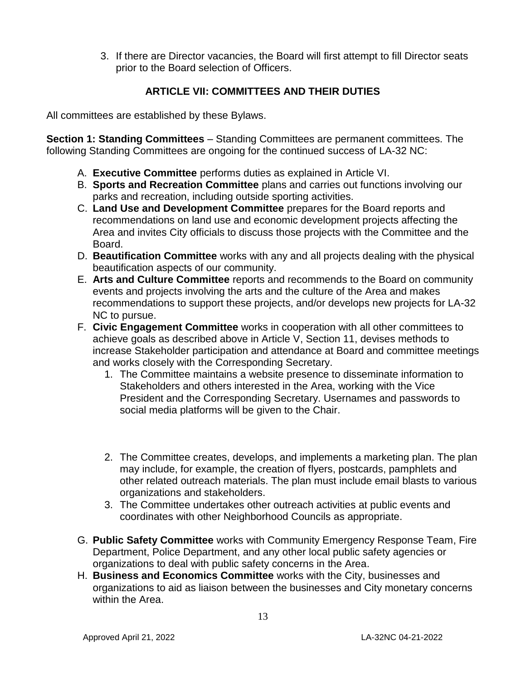3. If there are Director vacancies, the Board will first attempt to fill Director seats prior to the Board selection of Officers.

## **ARTICLE VII: COMMITTEES AND THEIR DUTIES**

All committees are established by these Bylaws.

**Section 1: Standing Committees** – Standing Committees are permanent committees. The following Standing Committees are ongoing for the continued success of LA-32 NC:

- A. **Executive Committee** performs duties as explained in Article VI.
- B. **Sports and Recreation Committee** plans and carries out functions involving our parks and recreation, including outside sporting activities.
- C. **Land Use and Development Committee** prepares for the Board reports and recommendations on land use and economic development projects affecting the Area and invites City officials to discuss those projects with the Committee and the Board.
- D. **Beautification Committee** works with any and all projects dealing with the physical beautification aspects of our community.
- E. **Arts and Culture Committee** reports and recommends to the Board on community events and projects involving the arts and the culture of the Area and makes recommendations to support these projects, and/or develops new projects for LA-32 NC to pursue.
- F. **Civic Engagement Committee** works in cooperation with all other committees to achieve goals as described above in Article V, Section 11, devises methods to increase Stakeholder participation and attendance at Board and committee meetings and works closely with the Corresponding Secretary.
	- 1. The Committee maintains a website presence to disseminate information to Stakeholders and others interested in the Area, working with the Vice President and the Corresponding Secretary. Usernames and passwords to social media platforms will be given to the Chair.
	- 2. The Committee creates, develops, and implements a marketing plan. The plan may include, for example, the creation of flyers, postcards, pamphlets and other related outreach materials. The plan must include email blasts to various organizations and stakeholders.
	- 3. The Committee undertakes other outreach activities at public events and coordinates with other Neighborhood Councils as appropriate.
- G. **Public Safety Committee** works with Community Emergency Response Team, Fire Department, Police Department, and any other local public safety agencies or organizations to deal with public safety concerns in the Area.
- H. **Business and Economics Committee** works with the City, businesses and organizations to aid as liaison between the businesses and City monetary concerns within the Area.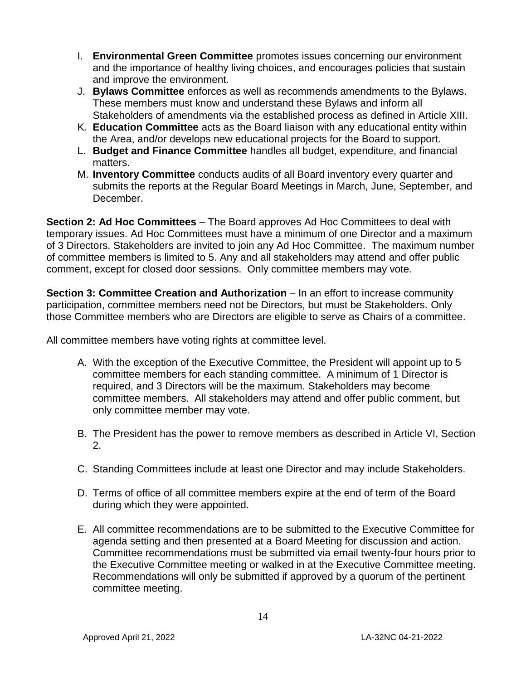- I. **Environmental Green Committee** promotes issues concerning our environment and the importance of healthy living choices, and encourages policies that sustain and improve the environment.
- J. **Bylaws Committee** enforces as well as recommends amendments to the Bylaws. These members must know and understand these Bylaws and inform all Stakeholders of amendments via the established process as defined in Article XIII.
- K. **Education Committee** acts as the Board liaison with any educational entity within the Area, and/or develops new educational projects for the Board to support.
- L. **Budget and Finance Committee** handles all budget, expenditure, and financial matters.
- M. **Inventory Committee** conducts audits of all Board inventory every quarter and submits the reports at the Regular Board Meetings in March, June, September, and December.

**Section 2: Ad Hoc Committees** – The Board approves Ad Hoc Committees to deal with temporary issues. Ad Hoc Committees must have a minimum of one Director and a maximum of 3 Directors. Stakeholders are invited to join any Ad Hoc Committee. The maximum number of committee members is limited to 5. Any and all stakeholders may attend and offer public comment, except for closed door sessions. Only committee members may vote.

**Section 3: Committee Creation and Authorization** – In an effort to increase community participation, committee members need not be Directors, but must be Stakeholders. Only those Committee members who are Directors are eligible to serve as Chairs of a committee.

All committee members have voting rights at committee level.

- A. With the exception of the Executive Committee, the President will appoint up to 5 committee members for each standing committee. A minimum of 1 Director is required, and 3 Directors will be the maximum. Stakeholders may become committee members. All stakeholders may attend and offer public comment, but only committee member may vote.
- B. The President has the power to remove members as described in Article VI, Section 2.
- C. Standing Committees include at least one Director and may include Stakeholders.
- D. Terms of office of all committee members expire at the end of term of the Board during which they were appointed.
- E. All committee recommendations are to be submitted to the Executive Committee for agenda setting and then presented at a Board Meeting for discussion and action. Committee recommendations must be submitted via email twenty-four hours prior to the Executive Committee meeting or walked in at the Executive Committee meeting. Recommendations will only be submitted if approved by a quorum of the pertinent committee meeting.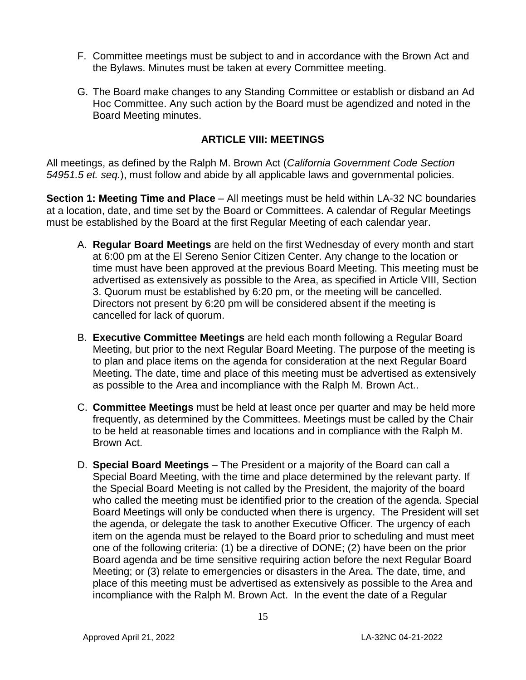- F. Committee meetings must be subject to and in accordance with the Brown Act and the Bylaws. Minutes must be taken at every Committee meeting.
- G. The Board make changes to any Standing Committee or establish or disband an Ad Hoc Committee. Any such action by the Board must be agendized and noted in the Board Meeting minutes.

## **ARTICLE VIII: MEETINGS**

All meetings, as defined by the Ralph M. Brown Act (*California Government Code Section 54951.5 et. seq.*), must follow and abide by all applicable laws and governmental policies.

**Section 1: Meeting Time and Place** – All meetings must be held within LA-32 NC boundaries at a location, date, and time set by the Board or Committees. A calendar of Regular Meetings must be established by the Board at the first Regular Meeting of each calendar year.

- A. **Regular Board Meetings** are held on the first Wednesday of every month and start at 6:00 pm at the El Sereno Senior Citizen Center. Any change to the location or time must have been approved at the previous Board Meeting. This meeting must be advertised as extensively as possible to the Area, as specified in Article VIII, Section 3. Quorum must be established by 6:20 pm, or the meeting will be cancelled. Directors not present by 6:20 pm will be considered absent if the meeting is cancelled for lack of quorum.
- B. **Executive Committee Meetings** are held each month following a Regular Board Meeting, but prior to the next Regular Board Meeting. The purpose of the meeting is to plan and place items on the agenda for consideration at the next Regular Board Meeting. The date, time and place of this meeting must be advertised as extensively as possible to the Area and incompliance with the Ralph M. Brown Act..
- C. **Committee Meetings** must be held at least once per quarter and may be held more frequently, as determined by the Committees. Meetings must be called by the Chair to be held at reasonable times and locations and in compliance with the Ralph M. Brown Act.
- D. **Special Board Meetings** The President or a majority of the Board can call a Special Board Meeting, with the time and place determined by the relevant party. If the Special Board Meeting is not called by the President, the majority of the board who called the meeting must be identified prior to the creation of the agenda. Special Board Meetings will only be conducted when there is urgency. The President will set the agenda, or delegate the task to another Executive Officer. The urgency of each item on the agenda must be relayed to the Board prior to scheduling and must meet one of the following criteria: (1) be a directive of DONE; (2) have been on the prior Board agenda and be time sensitive requiring action before the next Regular Board Meeting; or (3) relate to emergencies or disasters in the Area. The date, time, and place of this meeting must be advertised as extensively as possible to the Area and incompliance with the Ralph M. Brown Act. In the event the date of a Regular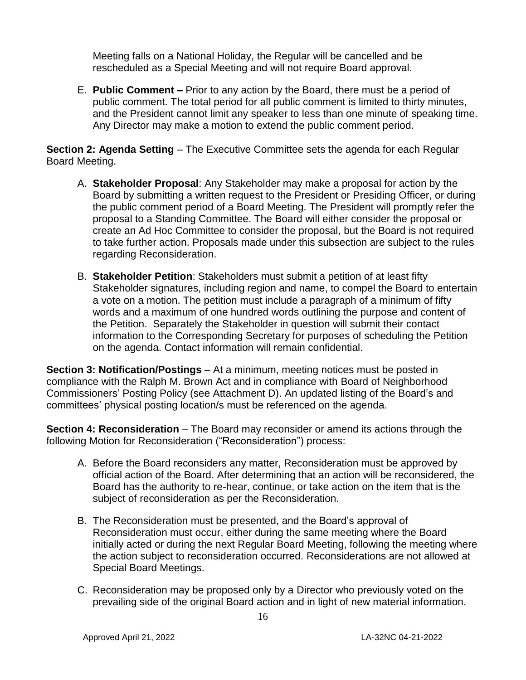Meeting falls on a National Holiday, the Regular will be cancelled and be rescheduled as a Special Meeting and will not require Board approval.

E. **Public Comment –** Prior to any action by the Board, there must be a period of public comment. The total period for all public comment is limited to thirty minutes, and the President cannot limit any speaker to less than one minute of speaking time. Any Director may make a motion to extend the public comment period.

**Section 2: Agenda Setting** – The Executive Committee sets the agenda for each Regular Board Meeting.

- A. **Stakeholder Proposal**: Any Stakeholder may make a proposal for action by the Board by submitting a written request to the President or Presiding Officer, or during the public comment period of a Board Meeting. The President will promptly refer the proposal to a Standing Committee. The Board will either consider the proposal or create an Ad Hoc Committee to consider the proposal, but the Board is not required to take further action. Proposals made under this subsection are subject to the rules regarding Reconsideration.
- B. **Stakeholder Petition**: Stakeholders must submit a petition of at least fifty Stakeholder signatures, including region and name, to compel the Board to entertain a vote on a motion. The petition must include a paragraph of a minimum of fifty words and a maximum of one hundred words outlining the purpose and content of the Petition. Separately the Stakeholder in question will submit their contact information to the Corresponding Secretary for purposes of scheduling the Petition on the agenda. Contact information will remain confidential.

**Section 3: Notification/Postings** – At a minimum, meeting notices must be posted in compliance with the Ralph M. Brown Act and in compliance with Board of Neighborhood Commissioners' Posting Policy (see Attachment D). An updated listing of the Board's and committees' physical posting location/s must be referenced on the agenda.

**Section 4: Reconsideration** – The Board may reconsider or amend its actions through the following Motion for Reconsideration ("Reconsideration") process:

- A. Before the Board reconsiders any matter, Reconsideration must be approved by official action of the Board. After determining that an action will be reconsidered, the Board has the authority to re-hear, continue, or take action on the item that is the subject of reconsideration as per the Reconsideration.
- B. The Reconsideration must be presented, and the Board's approval of Reconsideration must occur, either during the same meeting where the Board initially acted or during the next Regular Board Meeting, following the meeting where the action subject to reconsideration occurred. Reconsiderations are not allowed at Special Board Meetings.
- C. Reconsideration may be proposed only by a Director who previously voted on the prevailing side of the original Board action and in light of new material information.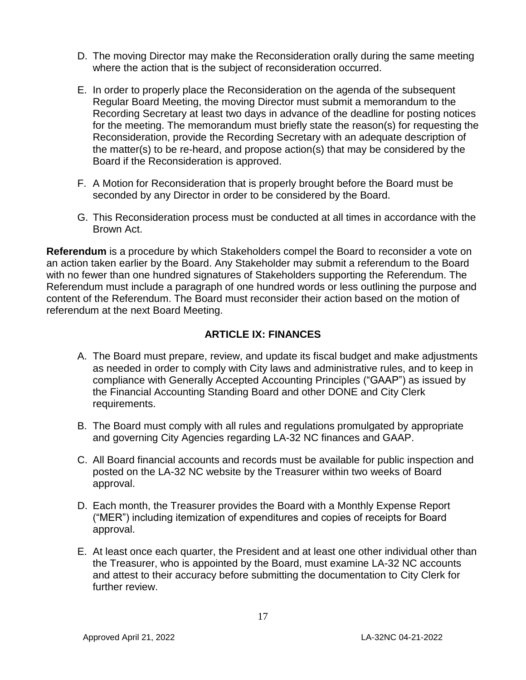- D. The moving Director may make the Reconsideration orally during the same meeting where the action that is the subject of reconsideration occurred.
- E. In order to properly place the Reconsideration on the agenda of the subsequent Regular Board Meeting, the moving Director must submit a memorandum to the Recording Secretary at least two days in advance of the deadline for posting notices for the meeting. The memorandum must briefly state the reason(s) for requesting the Reconsideration, provide the Recording Secretary with an adequate description of the matter(s) to be re-heard, and propose action(s) that may be considered by the Board if the Reconsideration is approved.
- F. A Motion for Reconsideration that is properly brought before the Board must be seconded by any Director in order to be considered by the Board.
- G. This Reconsideration process must be conducted at all times in accordance with the Brown Act.

**Referendum** is a procedure by which Stakeholders compel the Board to reconsider a vote on an action taken earlier by the Board. Any Stakeholder may submit a referendum to the Board with no fewer than one hundred signatures of Stakeholders supporting the Referendum. The Referendum must include a paragraph of one hundred words or less outlining the purpose and content of the Referendum. The Board must reconsider their action based on the motion of referendum at the next Board Meeting.

## **ARTICLE IX: FINANCES**

- A. The Board must prepare, review, and update its fiscal budget and make adjustments as needed in order to comply with City laws and administrative rules, and to keep in compliance with Generally Accepted Accounting Principles ("GAAP") as issued by the Financial Accounting Standing Board and other DONE and City Clerk requirements.
- B. The Board must comply with all rules and regulations promulgated by appropriate and governing City Agencies regarding LA-32 NC finances and GAAP.
- C. All Board financial accounts and records must be available for public inspection and posted on the LA-32 NC website by the Treasurer within two weeks of Board approval.
- D. Each month, the Treasurer provides the Board with a Monthly Expense Report ("MER") including itemization of expenditures and copies of receipts for Board approval.
- E. At least once each quarter, the President and at least one other individual other than the Treasurer, who is appointed by the Board, must examine LA-32 NC accounts and attest to their accuracy before submitting the documentation to City Clerk for further review.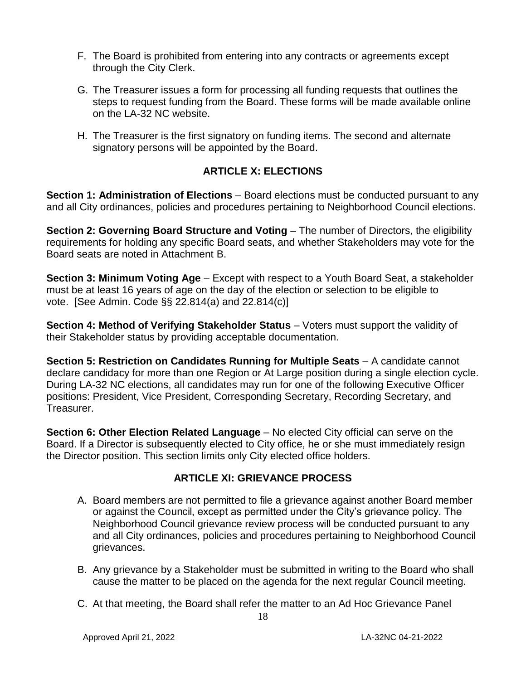- F. The Board is prohibited from entering into any contracts or agreements except through the City Clerk.
- G. The Treasurer issues a form for processing all funding requests that outlines the steps to request funding from the Board. These forms will be made available online on the LA-32 NC website.
- H. The Treasurer is the first signatory on funding items. The second and alternate signatory persons will be appointed by the Board.

## **ARTICLE X: ELECTIONS**

**Section 1: Administration of Elections** – Board elections must be conducted pursuant to any and all City ordinances, policies and procedures pertaining to Neighborhood Council elections.

**Section 2: Governing Board Structure and Voting** – The number of Directors, the eligibility requirements for holding any specific Board seats, and whether Stakeholders may vote for the Board seats are noted in Attachment B.

**Section 3: Minimum Voting Age** – Except with respect to a Youth Board Seat, a stakeholder must be at least 16 years of age on the day of the election or selection to be eligible to vote. [See Admin. Code §§ 22.814(a) and 22.814(c)]

**Section 4: Method of Verifying Stakeholder Status** – Voters must support the validity of their Stakeholder status by providing acceptable documentation.

**Section 5: Restriction on Candidates Running for Multiple Seats** – A candidate cannot declare candidacy for more than one Region or At Large position during a single election cycle. During LA-32 NC elections, all candidates may run for one of the following Executive Officer positions: President, Vice President, Corresponding Secretary, Recording Secretary, and Treasurer.

**Section 6: Other Election Related Language** – No elected City official can serve on the Board. If a Director is subsequently elected to City office, he or she must immediately resign the Director position. This section limits only City elected office holders.

## **ARTICLE XI: GRIEVANCE PROCESS**

- A. Board members are not permitted to file a grievance against another Board member or against the Council, except as permitted under the City's grievance policy. The Neighborhood Council grievance review process will be conducted pursuant to any and all City ordinances, policies and procedures pertaining to Neighborhood Council grievances.
- B. Any grievance by a Stakeholder must be submitted in writing to the Board who shall cause the matter to be placed on the agenda for the next regular Council meeting.
- C. At that meeting, the Board shall refer the matter to an Ad Hoc Grievance Panel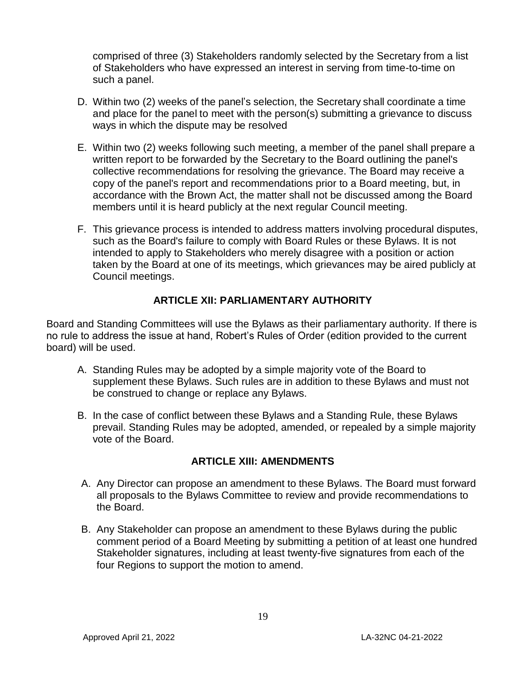comprised of three (3) Stakeholders randomly selected by the Secretary from a list of Stakeholders who have expressed an interest in serving from time-to-time on such a panel.

- D. Within two (2) weeks of the panel's selection, the Secretary shall coordinate a time and place for the panel to meet with the person(s) submitting a grievance to discuss ways in which the dispute may be resolved
- E. Within two (2) weeks following such meeting, a member of the panel shall prepare a written report to be forwarded by the Secretary to the Board outlining the panel's collective recommendations for resolving the grievance. The Board may receive a copy of the panel's report and recommendations prior to a Board meeting, but, in accordance with the Brown Act, the matter shall not be discussed among the Board members until it is heard publicly at the next regular Council meeting.
- F. This grievance process is intended to address matters involving procedural disputes, such as the Board's failure to comply with Board Rules or these Bylaws. It is not intended to apply to Stakeholders who merely disagree with a position or action taken by the Board at one of its meetings, which grievances may be aired publicly at Council meetings.

## **ARTICLE XII: PARLIAMENTARY AUTHORITY**

Board and Standing Committees will use the Bylaws as their parliamentary authority. If there is no rule to address the issue at hand, Robert's Rules of Order (edition provided to the current board) will be used.

- A. Standing Rules may be adopted by a simple majority vote of the Board to supplement these Bylaws. Such rules are in addition to these Bylaws and must not be construed to change or replace any Bylaws.
- B. In the case of conflict between these Bylaws and a Standing Rule, these Bylaws prevail. Standing Rules may be adopted, amended, or repealed by a simple majority vote of the Board.

## **ARTICLE XIII: AMENDMENTS**

- A. Any Director can propose an amendment to these Bylaws. The Board must forward all proposals to the Bylaws Committee to review and provide recommendations to the Board.
- B. Any Stakeholder can propose an amendment to these Bylaws during the public comment period of a Board Meeting by submitting a petition of at least one hundred Stakeholder signatures, including at least twenty-five signatures from each of the four Regions to support the motion to amend.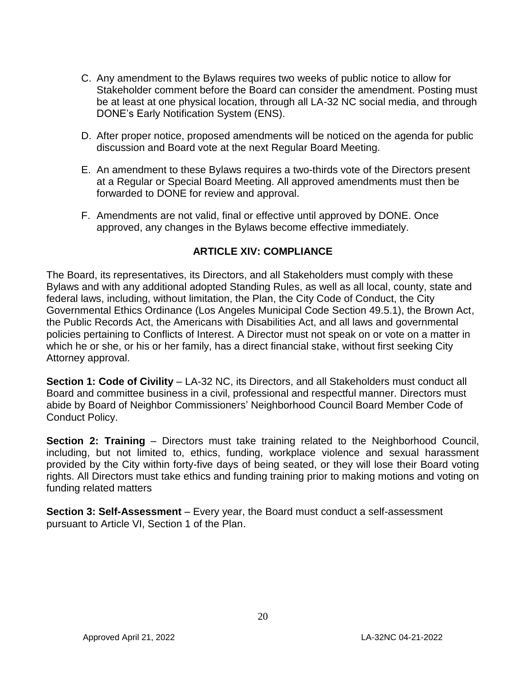- C. Any amendment to the Bylaws requires two weeks of public notice to allow for Stakeholder comment before the Board can consider the amendment. Posting must be at least at one physical location, through all LA-32 NC social media, and through DONE's Early Notification System (ENS).
- D. After proper notice, proposed amendments will be noticed on the agenda for public discussion and Board vote at the next Regular Board Meeting.
- E. An amendment to these Bylaws requires a two-thirds vote of the Directors present at a Regular or Special Board Meeting. All approved amendments must then be forwarded to DONE for review and approval.
- F. Amendments are not valid, final or effective until approved by DONE. Once approved, any changes in the Bylaws become effective immediately.

## **ARTICLE XIV: COMPLIANCE**

The Board, its representatives, its Directors, and all Stakeholders must comply with these Bylaws and with any additional adopted Standing Rules, as well as all local, county, state and federal laws, including, without limitation, the Plan, the City Code of Conduct, the City Governmental Ethics Ordinance (Los Angeles Municipal Code Section 49.5.1), the Brown Act, the Public Records Act, the Americans with Disabilities Act, and all laws and governmental policies pertaining to Conflicts of Interest. A Director must not speak on or vote on a matter in which he or she, or his or her family, has a direct financial stake, without first seeking City Attorney approval.

**Section 1: Code of Civility** – LA-32 NC, its Directors, and all Stakeholders must conduct all Board and committee business in a civil, professional and respectful manner. Directors must abide by Board of Neighbor Commissioners' Neighborhood Council Board Member Code of Conduct Policy.

**Section 2: Training** – Directors must take training related to the Neighborhood Council, including, but not limited to, ethics, funding, workplace violence and sexual harassment provided by the City within forty-five days of being seated, or they will lose their Board voting rights. All Directors must take ethics and funding training prior to making motions and voting on funding related matters

**Section 3: Self-Assessment** – Every year, the Board must conduct a self-assessment pursuant to Article VI, Section 1 of the Plan.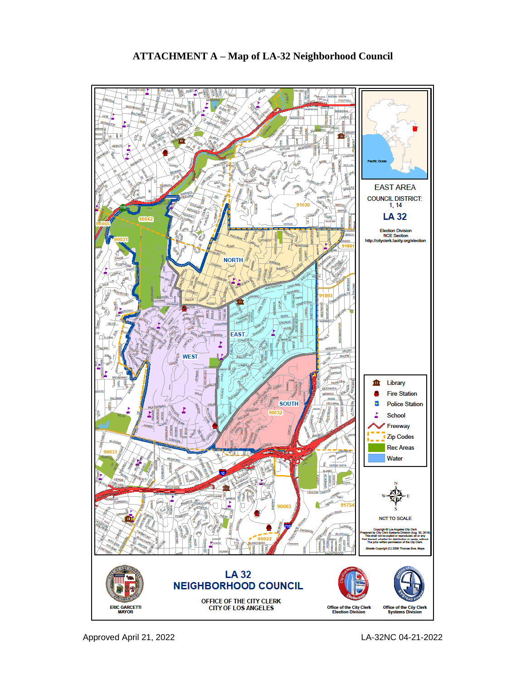

## **ATTACHMENT A – Map of LA-32 Neighborhood Council**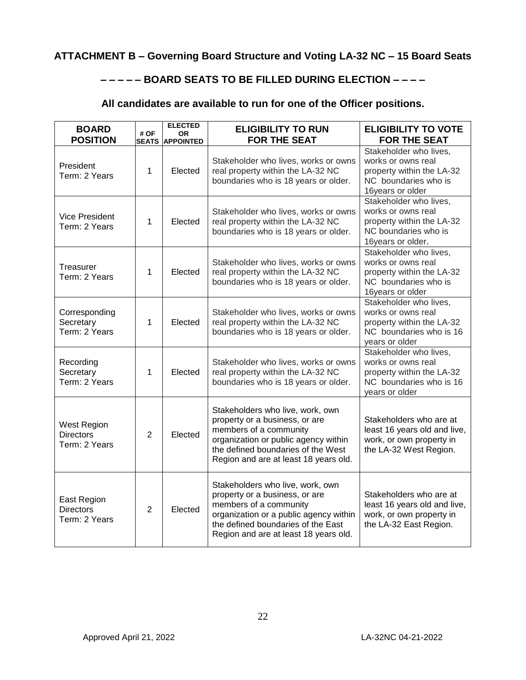## **ATTACHMENT B – Governing Board Structure and Voting LA-32 NC – 15 Board Seats**

## **– – – – – BOARD SEATS TO BE FILLED DURING ELECTION – – – –**

## **All candidates are available to run for one of the Officer positions.**

| <b>BOARD</b><br><b>POSITION</b>                  | # OF           | <b>ELECTED</b><br><b>OR</b><br><b>SEATS APPOINTED</b> | <b>ELIGIBILITY TO RUN</b><br><b>FOR THE SEAT</b>                                                                                                                                                                      | <b>ELIGIBILITY TO VOTE</b><br><b>FOR THE SEAT</b>                                                                      |
|--------------------------------------------------|----------------|-------------------------------------------------------|-----------------------------------------------------------------------------------------------------------------------------------------------------------------------------------------------------------------------|------------------------------------------------------------------------------------------------------------------------|
| President<br>Term: 2 Years                       | 1              | Elected                                               | Stakeholder who lives, works or owns<br>real property within the LA-32 NC<br>boundaries who is 18 years or older.                                                                                                     | Stakeholder who lives,<br>works or owns real<br>property within the LA-32<br>NC boundaries who is<br>16years or older  |
| <b>Vice President</b><br>Term: 2 Years           | 1              | Elected                                               | Stakeholder who lives, works or owns<br>real property within the LA-32 NC<br>boundaries who is 18 years or older.                                                                                                     | Stakeholder who lives,<br>works or owns real<br>property within the LA-32<br>NC boundaries who is<br>16years or older. |
| Treasurer<br>Term: 2 Years                       | 1              | Elected                                               | Stakeholder who lives, works or owns<br>real property within the LA-32 NC<br>boundaries who is 18 years or older.                                                                                                     | Stakeholder who lives,<br>works or owns real<br>property within the LA-32<br>NC boundaries who is<br>16years or older  |
| Corresponding<br>Secretary<br>Term: 2 Years      | 1              | Elected                                               | Stakeholder who lives, works or owns<br>real property within the LA-32 NC<br>boundaries who is 18 years or older.                                                                                                     | Stakeholder who lives,<br>works or owns real<br>property within the LA-32<br>NC boundaries who is 16<br>years or older |
| Recording<br>Secretary<br>Term: 2 Years          | 1              | Elected                                               | Stakeholder who lives, works or owns<br>real property within the LA-32 NC<br>boundaries who is 18 years or older.                                                                                                     | Stakeholder who lives,<br>works or owns real<br>property within the LA-32<br>NC boundaries who is 16<br>years or older |
| West Region<br><b>Directors</b><br>Term: 2 Years | $\overline{2}$ | Elected                                               | Stakeholders who live, work, own<br>property or a business, or are<br>members of a community<br>organization or public agency within<br>the defined boundaries of the West<br>Region and are at least 18 years old.   | Stakeholders who are at<br>least 16 years old and live,<br>work, or own property in<br>the LA-32 West Region.          |
| East Region<br><b>Directors</b><br>Term: 2 Years | $\overline{2}$ | Elected                                               | Stakeholders who live, work, own<br>property or a business, or are<br>members of a community<br>organization or a public agency within<br>the defined boundaries of the East<br>Region and are at least 18 years old. | Stakeholders who are at<br>least 16 years old and live,<br>work, or own property in<br>the LA-32 East Region.          |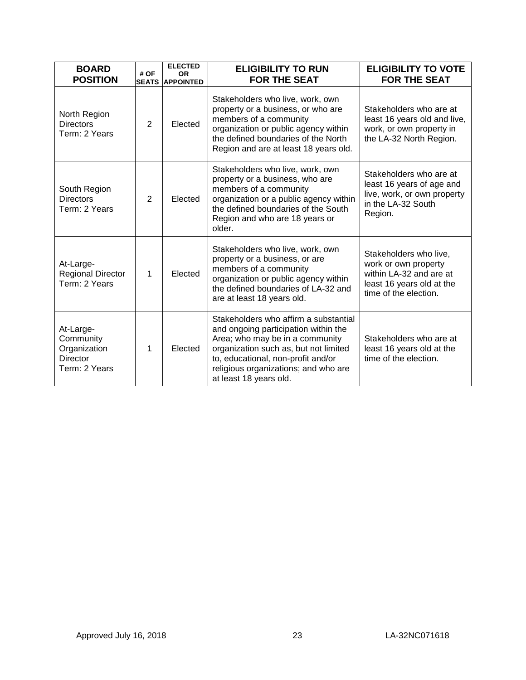| <b>BOARD</b><br><b>POSITION</b>                                            | # OF | <b>ELECTED</b><br><b>OR</b><br><b>SEATS APPOINTED</b> | <b>ELIGIBILITY TO RUN</b><br><b>FOR THE SEAT</b>                                                                                                                                                                                                                  | <b>ELIGIBILITY TO VOTE</b><br><b>FOR THE SEAT</b>                                                                               |
|----------------------------------------------------------------------------|------|-------------------------------------------------------|-------------------------------------------------------------------------------------------------------------------------------------------------------------------------------------------------------------------------------------------------------------------|---------------------------------------------------------------------------------------------------------------------------------|
| North Region<br><b>Directors</b><br>Term: 2 Years                          | 2    | Elected                                               | Stakeholders who live, work, own<br>property or a business, or who are<br>members of a community<br>organization or public agency within<br>the defined boundaries of the North<br>Region and are at least 18 years old.                                          | Stakeholders who are at<br>least 16 years old and live,<br>work, or own property in<br>the LA-32 North Region.                  |
| South Region<br><b>Directors</b><br>Term: 2 Years                          | 2    | Elected                                               | Stakeholders who live, work, own<br>property or a business, who are<br>members of a community<br>organization or a public agency within<br>the defined boundaries of the South<br>Region and who are 18 years or<br>older.                                        | Stakeholders who are at<br>least 16 years of age and<br>live, work, or own property<br>in the LA-32 South<br>Region.            |
| At-Large-<br><b>Regional Director</b><br>Term: 2 Years                     | 1    | Elected                                               | Stakeholders who live, work, own<br>property or a business, or are<br>members of a community<br>organization or public agency within<br>the defined boundaries of LA-32 and<br>are at least 18 years old.                                                         | Stakeholders who live,<br>work or own property<br>within LA-32 and are at<br>least 16 years old at the<br>time of the election. |
| At-Large-<br>Community<br>Organization<br><b>Director</b><br>Term: 2 Years | 1    | Elected                                               | Stakeholders who affirm a substantial<br>and ongoing participation within the<br>Area; who may be in a community<br>organization such as, but not limited<br>to, educational, non-profit and/or<br>religious organizations; and who are<br>at least 18 years old. | Stakeholders who are at<br>least 16 years old at the<br>time of the election.                                                   |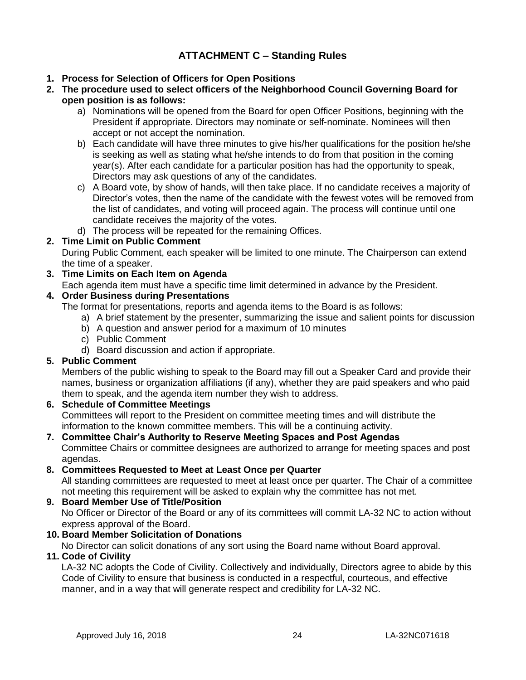## **ATTACHMENT C – Standing Rules**

#### **1. Process for Selection of Officers for Open Positions**

- **2. The procedure used to select officers of the Neighborhood Council Governing Board for open position is as follows:**
	- a) Nominations will be opened from the Board for open Officer Positions, beginning with the President if appropriate. Directors may nominate or self-nominate. Nominees will then accept or not accept the nomination.
	- b) Each candidate will have three minutes to give his/her qualifications for the position he/she is seeking as well as stating what he/she intends to do from that position in the coming year(s). After each candidate for a particular position has had the opportunity to speak, Directors may ask questions of any of the candidates.
	- c) A Board vote, by show of hands, will then take place. If no candidate receives a majority of Director's votes, then the name of the candidate with the fewest votes will be removed from the list of candidates, and voting will proceed again. The process will continue until one candidate receives the majority of the votes.
	- d) The process will be repeated for the remaining Offices.

#### **2. Time Limit on Public Comment**

During Public Comment, each speaker will be limited to one minute. The Chairperson can extend the time of a speaker.

#### **3. Time Limits on Each Item on Agenda**

Each agenda item must have a specific time limit determined in advance by the President.

### **4. Order Business during Presentations**

The format for presentations, reports and agenda items to the Board is as follows:

- a) A brief statement by the presenter, summarizing the issue and salient points for discussion
- b) A question and answer period for a maximum of 10 minutes
- c) Public Comment
- d) Board discussion and action if appropriate.

### **5. Public Comment**

Members of the public wishing to speak to the Board may fill out a Speaker Card and provide their names, business or organization affiliations (if any), whether they are paid speakers and who paid them to speak, and the agenda item number they wish to address.

### **6. Schedule of Committee Meetings**

Committees will report to the President on committee meeting times and will distribute the information to the known committee members. This will be a continuing activity.

## **7. Committee Chair's Authority to Reserve Meeting Spaces and Post Agendas**

Committee Chairs or committee designees are authorized to arrange for meeting spaces and post agendas.

#### **8. Committees Requested to Meet at Least Once per Quarter**

All standing committees are requested to meet at least once per quarter. The Chair of a committee not meeting this requirement will be asked to explain why the committee has not met.

### **9. Board Member Use of Title/Position**

No Officer or Director of the Board or any of its committees will commit LA-32 NC to action without express approval of the Board.

### **10. Board Member Solicitation of Donations**

No Director can solicit donations of any sort using the Board name without Board approval.

### **11. Code of Civility**

LA-32 NC adopts the Code of Civility. Collectively and individually, Directors agree to abide by this Code of Civility to ensure that business is conducted in a respectful, courteous, and effective manner, and in a way that will generate respect and credibility for LA-32 NC.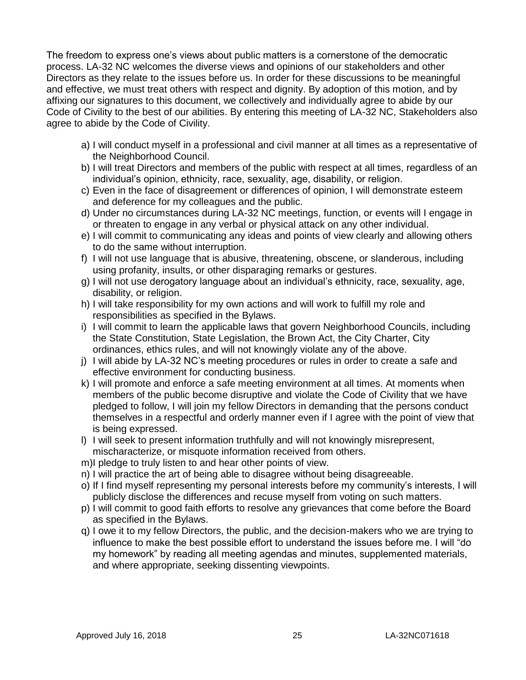The freedom to express one's views about public matters is a cornerstone of the democratic process. LA-32 NC welcomes the diverse views and opinions of our stakeholders and other Directors as they relate to the issues before us. In order for these discussions to be meaningful and effective, we must treat others with respect and dignity. By adoption of this motion, and by affixing our signatures to this document, we collectively and individually agree to abide by our Code of Civility to the best of our abilities. By entering this meeting of LA-32 NC, Stakeholders also agree to abide by the Code of Civility.

- a) I will conduct myself in a professional and civil manner at all times as a representative of the Neighborhood Council.
- b) I will treat Directors and members of the public with respect at all times, regardless of an individual's opinion, ethnicity, race, sexuality, age, disability, or religion.
- c) Even in the face of disagreement or differences of opinion, I will demonstrate esteem and deference for my colleagues and the public.
- d) Under no circumstances during LA-32 NC meetings, function, or events will I engage in or threaten to engage in any verbal or physical attack on any other individual.
- e) I will commit to communicating any ideas and points of view clearly and allowing others to do the same without interruption.
- f) I will not use language that is abusive, threatening, obscene, or slanderous, including using profanity, insults, or other disparaging remarks or gestures.
- g) I will not use derogatory language about an individual's ethnicity, race, sexuality, age, disability, or religion.
- h) I will take responsibility for my own actions and will work to fulfill my role and responsibilities as specified in the Bylaws.
- i) I will commit to learn the applicable laws that govern Neighborhood Councils, including the State Constitution, State Legislation, the Brown Act, the City Charter, City ordinances, ethics rules, and will not knowingly violate any of the above.
- j) I will abide by LA-32 NC's meeting procedures or rules in order to create a safe and effective environment for conducting business.
- k) I will promote and enforce a safe meeting environment at all times. At moments when members of the public become disruptive and violate the Code of Civility that we have pledged to follow, I will join my fellow Directors in demanding that the persons conduct themselves in a respectful and orderly manner even if I agree with the point of view that is being expressed.
- l) I will seek to present information truthfully and will not knowingly misrepresent, mischaracterize, or misquote information received from others.
- m)I pledge to truly listen to and hear other points of view.
- n) I will practice the art of being able to disagree without being disagreeable.
- o) If I find myself representing my personal interests before my community's interests, I will publicly disclose the differences and recuse myself from voting on such matters.
- p) I will commit to good faith efforts to resolve any grievances that come before the Board as specified in the Bylaws.
- q) I owe it to my fellow Directors, the public, and the decision-makers who we are trying to influence to make the best possible effort to understand the issues before me. I will "do my homework" by reading all meeting agendas and minutes, supplemented materials, and where appropriate, seeking dissenting viewpoints.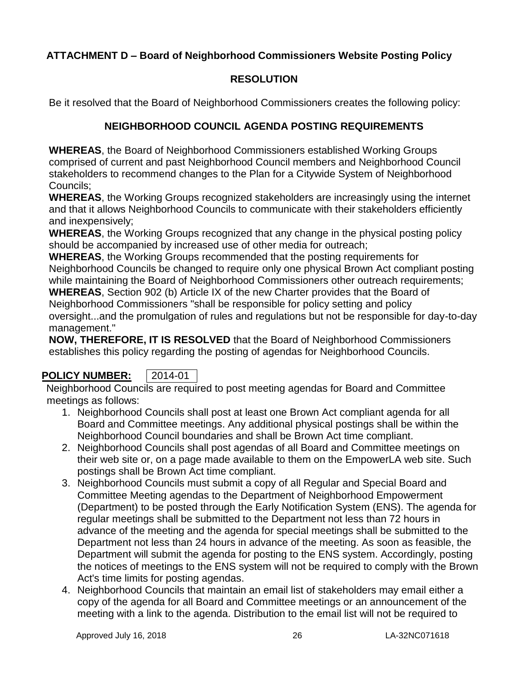## **ATTACHMENT D – Board of Neighborhood Commissioners Website Posting Policy**

## **RESOLUTION**

Be it resolved that the Board of Neighborhood Commissioners creates the following policy:

## **NEIGHBORHOOD COUNCIL AGENDA POSTING REQUIREMENTS**

**WHEREAS**, the Board of Neighborhood Commissioners established Working Groups comprised of current and past Neighborhood Council members and Neighborhood Council stakeholders to recommend changes to the Plan for a Citywide System of Neighborhood Councils;

**WHEREAS**, the Working Groups recognized stakeholders are increasingly using the internet and that it allows Neighborhood Councils to communicate with their stakeholders efficiently and inexpensively;

**WHEREAS**, the Working Groups recognized that any change in the physical posting policy should be accompanied by increased use of other media for outreach;

**WHEREAS**, the Working Groups recommended that the posting requirements for Neighborhood Councils be changed to require only one physical Brown Act compliant posting while maintaining the Board of Neighborhood Commissioners other outreach requirements; **WHEREAS**, Section 902 (b) Article IX of the new Charter provides that the Board of Neighborhood Commissioners "shall be responsible for policy setting and policy oversight...and the promulgation of rules and regulations but not be responsible for day-to-day management."

**NOW, THEREFORE, IT IS RESOLVED** that the Board of Neighborhood Commissioners establishes this policy regarding the posting of agendas for Neighborhood Councils.

## **POLICY NUMBER:** 2014-01

Neighborhood Councils are required to post meeting agendas for Board and Committee meetings as follows:

- 1. Neighborhood Councils shall post at least one Brown Act compliant agenda for all Board and Committee meetings. Any additional physical postings shall be within the Neighborhood Council boundaries and shall be Brown Act time compliant.
- 2. Neighborhood Councils shall post agendas of all Board and Committee meetings on their web site or, on a page made available to them on the EmpowerLA web site. Such postings shall be Brown Act time compliant.
- 3. Neighborhood Councils must submit a copy of all Regular and Special Board and Committee Meeting agendas to the Department of Neighborhood Empowerment (Department) to be posted through the Early Notification System (ENS). The agenda for regular meetings shall be submitted to the Department not less than 72 hours in advance of the meeting and the agenda for special meetings shall be submitted to the Department not less than 24 hours in advance of the meeting. As soon as feasible, the Department will submit the agenda for posting to the ENS system. Accordingly, posting the notices of meetings to the ENS system will not be required to comply with the Brown Act's time limits for posting agendas.
- 4. Neighborhood Councils that maintain an email list of stakeholders may email either a copy of the agenda for all Board and Committee meetings or an announcement of the meeting with a link to the agenda. Distribution to the email list will not be required to

Approved July 16, 2018 26 26 LA-32NC071618